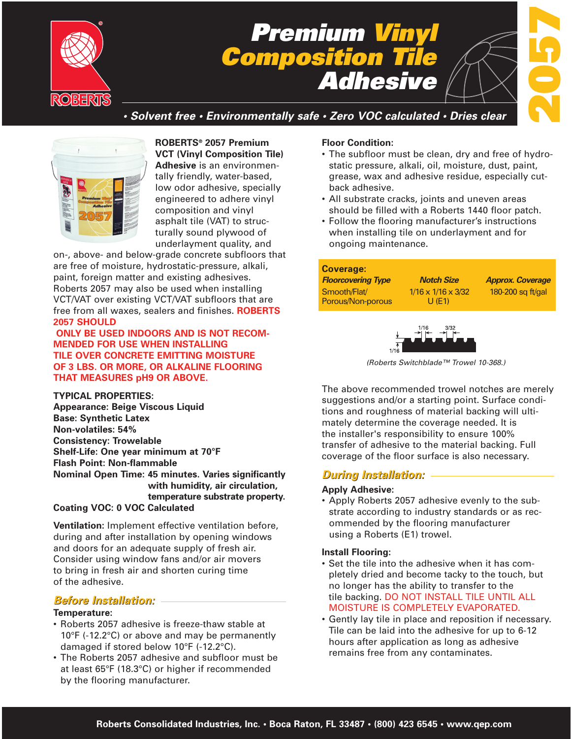

# *Premium Vinyl Composition Tile Adhesive*



*• Solvent free • Environmentally safe • Zero VOC calculated • Dries clear*



**ROBERTS® 2057 Premium VCT (Vinyl Composition Tile) Adhesive** is an environmentally friendly, water-based, low odor adhesive, specially engineered to adhere vinyl composition and vinyl asphalt tile (VAT) to structurally sound plywood of underlayment quality, and

on-, above- and below-grade concrete subfloors that are free of moisture, hydrostatic-pressure, alkali, paint, foreign matter and existing adhesives. Roberts 2057 may also be used when installing VCT/VAT over existing VCT/VAT subfloors that are free from all waxes, sealers and finishes. **ROBERTS 2057 SHOULD**

**ONLY BE USED INDOORS AND IS NOT RECOM-MENDED FOR USE WHEN INSTALLING TILE OVER CONCRETE EMITTING MOISTURE OF 3 LBS. OR MORE, OR ALKALINE FLOORING THAT MEASURES pH9 OR ABOVE.**

**TYPICAL PROPERTIES: Appearance: Beige Viscous Liquid Base: Synthetic Latex Non-volatiles: 54% Consistency: Trowelable Shelf-Life: One year minimum at 70°F Flash Point: Non-flammable Nominal Open Time: 45 minutes. Varies significantly with humidity, air circulation, temperature substrate property. Coating VOC: 0 VOC Calculated**

**Ventilation:** Implement effective ventilation before, during and after installation by opening windows and doors for an adequate supply of fresh air. Consider using window fans and/or air movers to bring in fresh air and shorten curing time of the adhesive.

## *Before Installation: Before Installation:*

#### **Temperature:**

- Roberts 2057 adhesive is freeze-thaw stable at 10°F (-12.2°C) or above and may be permanently damaged if stored below 10°F (-12.2°C).
- The Roberts 2057 adhesive and subfloor must be at least 65°F (18.3°C) or higher if recommended by the flooring manufacturer.

#### **Floor Condition:**

- The subfloor must be clean, dry and free of hydrostatic pressure, alkali, oil, moisture, dust, paint, grease, wax and adhesive residue, especially cutback adhesive.
- All substrate cracks, joints and uneven areas should be filled with a Roberts 1440 floor patch.
- Follow the flooring manufacturer's instructions when installing tile on underlayment and for ongoing maintenance.

| <b>Floorcovering Type</b>         | <b>Notch Size</b>                          | <b>Approx. Coverage</b> |
|-----------------------------------|--------------------------------------------|-------------------------|
| Smooth/Flat/<br>Porous/Non-porous | $1/16 \times 1/16 \times 3/32$<br>$U$ (E1) | 180-200 sq ft/gal       |



*(Roberts Switchblade™ Trowel 10-368.)*

The above recommended trowel notches are merely suggestions and/or a starting point. Surface conditions and roughness of material backing will ultimately determine the coverage needed. It is the installer's responsibility to ensure 100% transfer of adhesive to the material backing. Full coverage of the floor surface is also necessary.

# *During Installation: During Installation:*

#### **Apply Adhesive:**

• Apply Roberts 2057 adhesive evenly to the substrate according to industry standards or as recommended by the flooring manufacturer using a Roberts (E1) trowel.

#### **Install Flooring:**

- Set the tile into the adhesive when it has completely dried and become tacky to the touch, but no longer has the ability to transfer to the tile backing. DO NOT INSTALL TILE UNTIL ALL MOISTURE IS COMPLETELY EVAPORATED.
- Gently lay tile in place and reposition if necessary. Tile can be laid into the adhesive for up to 6-12 hours after application as long as adhesive remains free from any contaminates.